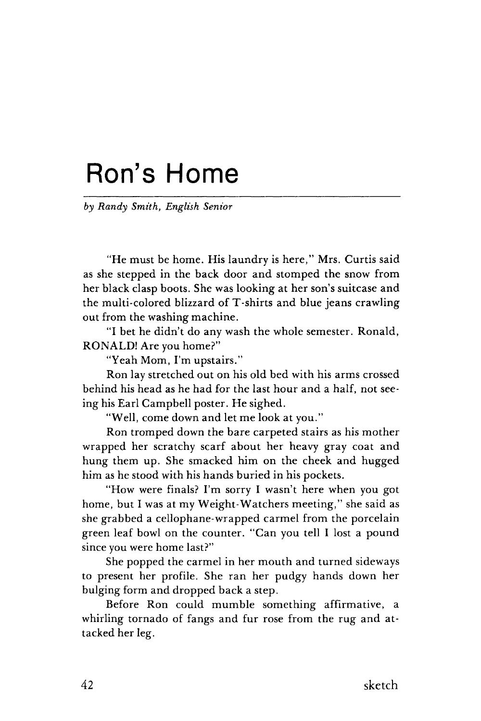## Ron's Home

*by Randy Smith, English Senior* 

"He must be home. His laundry is here," Mrs. Curtis said as she stepped in the back door and stomped the snow from her black clasp boots. She was looking at her son's suitcase and the multi-colored blizzard of T-shirts and blue jeans crawling out from the washing machine.

"I bet he didn't do any wash the whole semester. Ronald, RONALD! Are you home?"

"Yeah Mom, I'm upstairs."

Ron lay stretched out on his old bed with his arms crossed behind his head as he had for the last hour and a half, not seeing his Earl Campbell poster. He sighed.

"Well, come down and let me look at you."

Ron tromped down the bare carpeted stairs as his mother wrapped her scratchy scarf about her heavy gray coat and hung them up. She smacked him on the cheek and hugged him as he stood with his hands buried in his pockets.

"How were finals? I'm sorry I wasn't here when you got home, but I was at my Weight-Watchers meeting," she said as she grabbed a cellophane-wrapped carmel from the porcelain green leaf bowl on the counter. "Can you tell I lost a pound since you were home last?"

She popped the carmel in her mouth and turned sideways to present her profile. She ran her pudgy hands down her bulging form and dropped back a step.

Before Ron could mumble something affirmative, a whirling tornado of fangs and fur rose from the rug and attacked her leg.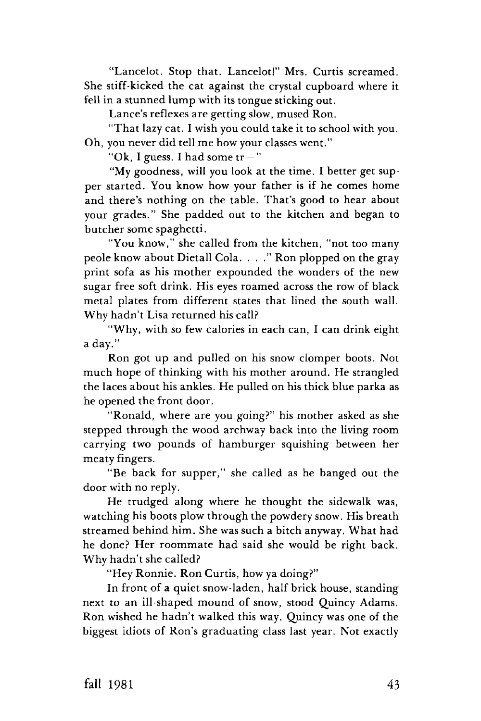"Lancelot. Stop that. Lancelot!" Mrs. Curtis screamed. She stiff-kicked the cat against the crystal cupboard where it fell in a stunned lump with its tongue sticking out.

Lance's reflexes are getting slow, mused Ron.

"That lazy cat. I wish you could take it to school with you. Oh, you never did tell me how your classes went."

"Ok, I guess. I had some  $tr -$ "

"My goodness, will you look at the time. I better get supper started. You know how your father is if he comes home and there's nothing on the table. That's good to hear about your grades." She padded out to the kitchen and began to butcher some spaghetti.

"You know," she called from the kitchen, "not too many peole know about Dietall Cola. ... " Ron plopped on the gray print sofa as his mother expounded the wonders of the new sugar free soft drink. His eyes roamed across the row of black metal plates from different states that lined the south wall. Why hadn't Lisa returned his call?

"Why, with so few calories in each can, I can drink eight a day."

Ron got up and pulled on his snow clomper boots. Not much hope of thinking with his mother around. He strangled the laces about his ankles. He pulled on his thick blue parka as he opened the front door.

"Ronald, where are you going?" his mother asked as she stepped through the wood archway back into the living room carrying two pounds of hamburger squishing between her meaty fingers.

"Be back for supper," she called as he banged out the door with no reply.

He trudged along where he thought the sidewalk was, watching his boots plow through the powdery snow. His breath streamed behind him. She was such a bitch anyway. What had he done? Her roommate had said she would be right back. Why hadn't she called?

"Hey Ronnie. Ron Curtis, how ya doing?"

In front of a quiet snow-laden, half brick house, standing next to an ill-shaped mound of snow, stood Quincy Adams. Ron wished he hadn't walked this way. Quincy was one of the biggest idiots of Ron's graduating class last year. Not exactly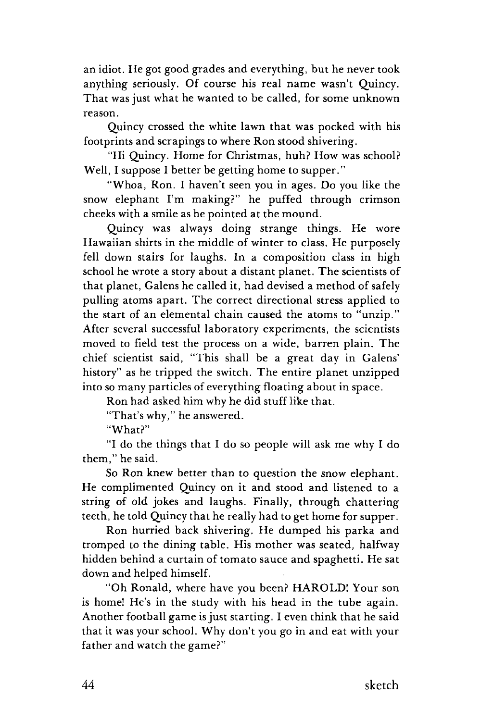an idiot. He got good grades and everything, but he never took anything seriously. Of course his real name wasn't Quincy. That was just what he wanted to be called, for some unknown reason.

Quincy crossed the white lawn that was pocked with his footprints and scrapings to where Ron stood shivering.

"Hi Quincy. Home for Christmas, huh? How was school? Well, I suppose I better be getting home to supper."

"Whoa, Ron. I haven't seen you in ages. Do you like the snow elephant I'm making?" he puffed through crimson cheeks with a smile as he pointed at the mound.

Quincy was always doing strange things. He wore Hawaiian shirts in the middle of winter to class. He purposely fell down stairs for laughs. In a composition class in high school he wrote a story about a distant planet. The scientists of that planet, Galens he called it, had devised a method of safely pulling atoms apart. The correct directional stress applied to the start of an elemental chain caused the atoms to "unzip." After several successful laboratory experiments, the scientists moved to field test the process on a wide, barren plain. The chief scientist said, "This shall be a great day in Galens' history" as he tripped the switch. The entire planet unzipped into so many particles of everything floating about in space.

Ron had asked him why he did stuff like that.

"That's why," he answered.

"What?"

"I do the things that I do so people will ask me why I do them," he said.

So Ron knew better than to question the snow elephant. He complimented Quincy on it and stood and listened to a string of old jokes and laughs. Finally, through chattering teeth, he told Quincy that he really had to get home for supper.

Ron hurried back shivering. He dumped his parka and tromped to the dining table. His mother was seated, halfway hidden behind a curtain of tomato sauce and spaghetti. He sat down and helped himself.

"Oh Ronald, where have you been? HAROLD! Your son is home! He's in the study with his head in the tube again. Another football game is just starting. I even think that he said that it was your school. Why don't you go in and eat with your father and watch the game?"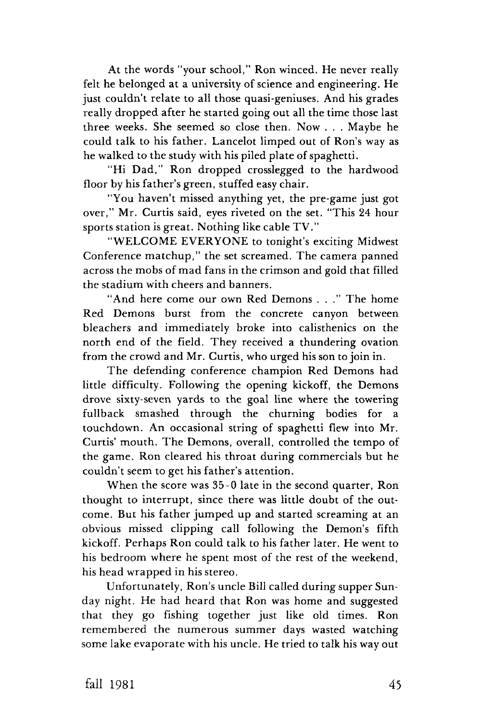At the words "your school," Ron winced. He never really felt he belonged at a university of science and engineering. He just couldn't relate to all those quasi-geniuses. And his grades really dropped after he started going out all the time those last three weeks. She seemed so close then. Now . . . Maybe he could talk to his father. Lancelot limped out of Ron's way as he walked to the study with his piled plate of spaghetti.

"Hi Dad," Ron dropped crosslegged to the hardwood floor by his father's green, stuffed easy chair.

"You haven't missed anything yet, the pre-game just got over," Mr. Curtis said, eyes riveted on the set. "This 24 hour sports station is great. Nothing like cable TV."

"WELCOME EVERYONE to tonight's exciting Midwest Conference matchup," the set screamed. The camera panned across the mobs of mad fans in the crimson and gold that filled the stadium with cheers and banners.

"And here come our own Red Demons . . ." The home Red Demons burst from the concrete canyon between bleachers and immediately broke into calisthenics on the north end of the field. They received a thundering ovation from the crowd and Mr. Curtis, who urged his son to join in.

The defending conference champion Red Demons had little difficulty. Following the opening kickoff, the Demons drove sixty-seven yards to the goal line where the towering fullback smashed through the churning bodies for a touchdown. An occasional string of spaghetti flew into Mr. Curtis' mouth. The Demons, overall, controlled the tempo of the game. Ron cleared his throat during commercials but he couldn't seem to get his father's attention.

When the score was 35-0 late in the second quarter, Ron thought to interrupt, since there was little doubt of the outcome. But his father jumped up and started screaming at an obvious missed clipping call following the Demon's fifth kickoff. Perhaps Ron could talk to his father later. He went to his bedroom where he spent most of the rest of the weekend, his head wrapped in his stereo.

Unfortunately, Ron's uncle Bill called during supper Sunday night. He had heard that Ron was home and suggested that they go fishing together just like old times. Ron remembered the numerous summer days wasted watching some lake evaporate with his uncle. He tried to talk his way out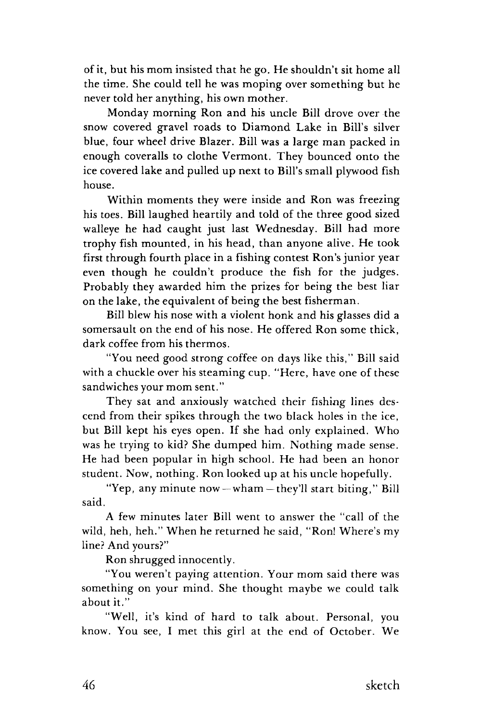of it, but his mom insisted that he go. He shouldn't sit home all the time. She could tell he was moping over something but he never told her anything, his own mother.

Monday morning Ron and his uncle Bill drove over the snow covered gravel roads to Diamond Lake in Bill's silver blue, four wheel drive Blazer. Bill was a large man packed in enough coveralls to clothe Vermont. They bounced onto the ice covered lake and pulled up next to Bill's small plywood fish house.

Within moments they were inside and Ron was freezing his toes. Bill laughed heartily and told of the three good sized walleye he had caught just last Wednesday. Bill had more trophy fish mounted, in his head, than anyone alive. He took first through fourth place in a fishing contest Ron's junior year even though he couldn't produce the fish for the judges. Probably they awarded him the prizes for being the best liar on the lake, the equivalent of being the best fisherman.

Bill blew his nose with a violent honk and his glasses did a somersault on the end of his nose. He offered Ron some thick, dark coffee from his thermos.

"You need good strong coffee on days like this," Bill said with a chuckle over his steaming cup. "Here, have one of these sandwiches your mom sent."

They sat and anxiously watched their fishing lines descend from their spikes through the two black holes in the ice, but Bill kept his eyes open. If she had only explained. Who was he trying to kid? She dumped him. Nothing made sense. He had been popular in high school. He had been an honor student. Now, nothing. Ron looked up at his uncle hopefully.

"Yep, any minute now —wham —they'll start biting," Bill said.

A few minutes later Bill went to answer the "call of the wild, heh, heh." When he returned he said, "Ron! Where's my line? And yours?"

Ron shrugged innocently.

"You weren't paying attention. Your mom said there was something on your mind. She thought maybe we could talk about it."

"Well, it's kind of hard to talk about. Personal, you know. You see, I met this girl at the end of October. We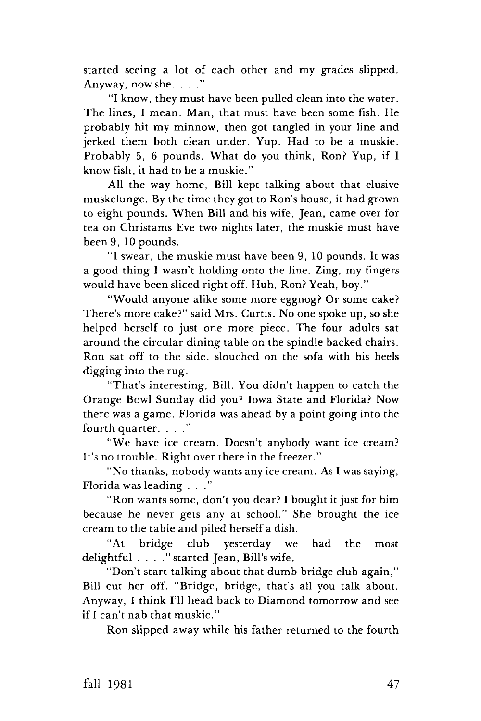started seeing a lot of each other and my grades slipped. Anyway, now she. . . ."

"I know, they must have been pulled clean into the water. The lines, I mean. Man, that must have been some fish. He probably hit my minnow, then got tangled in your line and jerked them both clean under. Yup. Had to be a muskie. Probably 5, 6 pounds. What do you think, Ron? Yup, if I know fish, it had to be a muskie."

All the way home, Bill kept talking about that elusive muskelunge. By the time they got to Ron's house, it had grown to eight pounds. When Bill and his wife, Jean, came over for tea on Christams Eve two nights later, the muskie must have been 9,10 pounds.

"I swear, the muskie must have been 9, 10 pounds. It was a good thing I wasn't holding onto the line. Zing, my fingers would have been sliced right off. Huh, Ron? Yeah, boy."

"Would anyone alike some more eggnog? Or some cake? There's more cake?" said Mrs. Curtis. No one spoke up, so she helped herself to just one more piece. The four adults sat around the circular dining table on the spindle backed chairs. Ron sat off to the side, slouched on the sofa with his heels digging into the rug.

"That's interesting, Bill. You didn't happen to catch the Orange Bowl Sunday did you? Iowa State and Florida? Now there was a game. Florida was ahead by a point going into the fourth quarter. . . ."

"We have ice cream. Doesn't anybody want ice cream? It's no trouble. Right over there in the freezer."

"No thanks, nobody wants any ice cream. As I was saying, Florida was leading . . ."

"Ron wants some, don't you dear? I bought it just for him because he never gets any at school." She brought the ice cream to the table and piled herself a dish.

"At bridge club yesterday we had the most delightful . . . ."started Jean, Bill's wife.

"Don't start talking about that dumb bridge club again," Bill cut her off. "Bridge, bridge, that's all you talk about. Anyway, I think I'll head back to Diamond tomorrow and see if I can't nab that muskie."

Ron slipped away while his father returned to the fourth